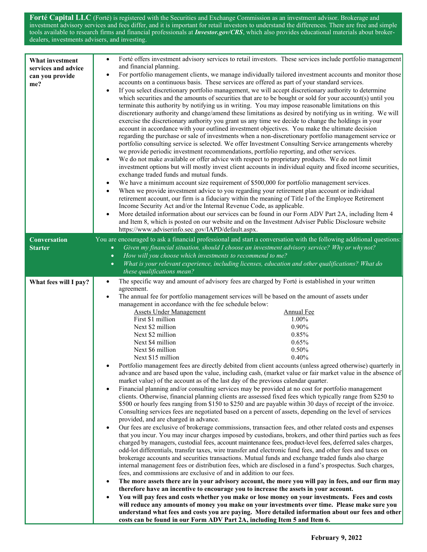**Forté Capital LLC** (Forté) is registered with the Securities and Exchange Commission as an investment advisor. Brokerage and investment advisory services and fees differ, and it is important for retail investors to understand the differences. There are free and simple tools available to research firms and financial professionals at *Investor.gov/CRS*, which also provides educational materials about brokerdealers, investments advisers, and investing.

| What investment<br>services and advice<br>can you provide<br>me? | Forté offers investment advisory services to retail investors. These services include portfolio management<br>$\bullet$<br>and financial planning.<br>For portfolio management clients, we manage individually tailored investment accounts and monitor those<br>$\bullet$<br>accounts on a continuous basis. These services are offered as part of your standard services.<br>If you select discretionary portfolio management, we will accept discretionary authority to determine<br>$\bullet$<br>which securities and the amounts of securities that are to be bought or sold for your account(s) until you<br>terminate this authority by notifying us in writing. You may impose reasonable limitations on this<br>discretionary authority and change/amend these limitations as desired by notifying us in writing. We will<br>exercise the discretionary authority you grant us any time we decide to change the holdings in your<br>account in accordance with your outlined investment objectives. You make the ultimate decision<br>regarding the purchase or sale of investments when a non-discretionary portfolio management service or<br>portfolio consulting service is selected. We offer Investment Consulting Service arrangements whereby<br>we provide periodic investment recommendations, portfolio reporting, and other services.<br>We do not make available or offer advice with respect to proprietary products. We do not limit<br>$\bullet$<br>investment options but will mostly invest client accounts in individual equity and fixed income securities,<br>exchange traded funds and mutual funds.<br>We have a minimum account size requirement of \$500,000 for portfolio management services.<br>$\bullet$<br>When we provide investment advice to you regarding your retirement plan account or individual<br>retirement account, our firm is a fiduciary within the meaning of Title I of the Employee Retirement<br>Income Security Act and/or the Internal Revenue Code, as applicable.<br>More detailed information about our services can be found in our Form ADV Part 2A, including Item 4<br>$\bullet$<br>and Item 8, which is posted on our website and on the Investment Adviser Public Disclosure website<br>https://www.adviserinfo.sec.gov/IAPD/default.aspx.                                                                                                                                                                                                                                                                                                                                                                             |
|------------------------------------------------------------------|---------------------------------------------------------------------------------------------------------------------------------------------------------------------------------------------------------------------------------------------------------------------------------------------------------------------------------------------------------------------------------------------------------------------------------------------------------------------------------------------------------------------------------------------------------------------------------------------------------------------------------------------------------------------------------------------------------------------------------------------------------------------------------------------------------------------------------------------------------------------------------------------------------------------------------------------------------------------------------------------------------------------------------------------------------------------------------------------------------------------------------------------------------------------------------------------------------------------------------------------------------------------------------------------------------------------------------------------------------------------------------------------------------------------------------------------------------------------------------------------------------------------------------------------------------------------------------------------------------------------------------------------------------------------------------------------------------------------------------------------------------------------------------------------------------------------------------------------------------------------------------------------------------------------------------------------------------------------------------------------------------------------------------------------------------------------------------------------------------------------------------------------------------------------------------------------------------------------------------------------------------------------------------------------------------------------------------------------------------------------------------------------------------------------------------------------------------------------------------------------------------------------------------------------------------------------------------------------------------------------------------------------------------------------------------------------|
| <b>Conversation</b><br><b>Starter</b>                            | You are encouraged to ask a financial professional and start a conversation with the following additional questions:<br>Given my financial situation, should I choose an investment advisory service? Why or whynot?<br>$\bullet$<br>How will you choose which investments to recommend to me?<br>$\bullet$<br>What is your relevant experience, including licenses, education and other qualifications? What do<br>$\bullet$<br>these qualifications mean?                                                                                                                                                                                                                                                                                                                                                                                                                                                                                                                                                                                                                                                                                                                                                                                                                                                                                                                                                                                                                                                                                                                                                                                                                                                                                                                                                                                                                                                                                                                                                                                                                                                                                                                                                                                                                                                                                                                                                                                                                                                                                                                                                                                                                                 |
| What fees will I pay?                                            | The specific way and amount of advisory fees are charged by Forté is established in your written<br>$\bullet$<br>agreement.<br>The annual fee for portfolio management services will be based on the amount of assets under<br>$\bullet$<br>management in accordance with the fee schedule below:<br><b>Assets Under Management</b><br>Annual Fee<br>First \$1 million<br>1.00%<br>0.90%<br>Next \$2 million<br>Next \$2 million<br>0.85%<br>Next \$4 million<br>0.65%<br>Next \$6 million<br>0.50%<br>Next \$15 million<br>0.40%<br>Portfolio management fees are directly debited from client accounts (unless agreed otherwise) quarterly in<br>advance and are based upon the value, including cash, (market value or fair market value in the absence of<br>market value) of the account as of the last day of the previous calendar quarter.<br>Financial planning and/or consulting services may be provided at no cost for portfolio management<br>$\bullet$<br>clients. Otherwise, financial planning clients are assessed fixed fees which typically range from \$250 to<br>\$500 or hourly fees ranging from \$150 to \$250 and are payable within 30 days of receipt of the invoice.<br>Consulting services fees are negotiated based on a percent of assets, depending on the level of services<br>provided, and are charged in advance.<br>Our fees are exclusive of brokerage commissions, transaction fees, and other related costs and expenses<br>٠<br>that you incur. You may incur charges imposed by custodians, brokers, and other third parties such as fees<br>charged by managers, custodial fees, account maintenance fees, product-level fees, deferred sales charges,<br>odd-lot differentials, transfer taxes, wire transfer and electronic fund fees, and other fees and taxes on<br>brokerage accounts and securities transactions. Mutual funds and exchange traded funds also charge<br>internal management fees or distribution fees, which are disclosed in a fund's prospectus. Such charges,<br>fees, and commissions are exclusive of and in addition to our fees.<br>The more assets there are in your advisory account, the more you will pay in fees, and our firm may<br>therefore have an incentive to encourage you to increase the assets in your account.<br>You will pay fees and costs whether you make or lose money on your investments. Fees and costs<br>will reduce any amounts of money you make on your investments over time. Please make sure you<br>understand what fees and costs you are paying. More detailed information about our fees and other<br>costs can be found in our Form ADV Part 2A, including Item 5 and Item 6. |